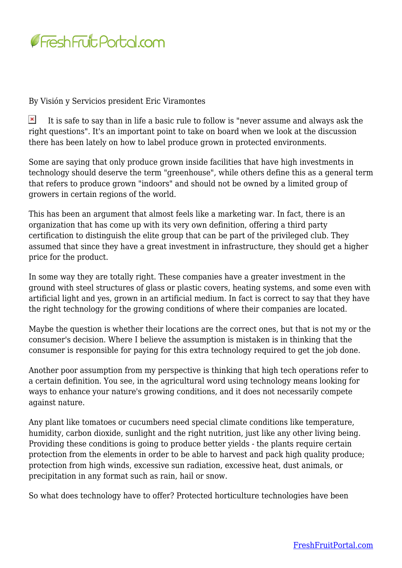

By Visión y Servicios president Eric Viramontes

 $\pmb{\times}$ It is safe to say than in life a basic rule to follow is "never assume and always ask the right questions". It's an important point to take on board when we look at the discussion there has been lately on how to label produce grown in protected environments.

Some are saying that only produce grown inside facilities that have high investments in technology should deserve the term "greenhouse", while others define this as a general term that refers to produce grown "indoors" and should not be owned by a limited group of growers in certain regions of the world.

This has been an argument that almost feels like a marketing war. In fact, there is an organization that has come up with its very own definition, offering a third party certification to distinguish the elite group that can be part of the privileged club. They assumed that since they have a great investment in infrastructure, they should get a higher price for the product.

In some way they are totally right. These companies have a greater investment in the ground with steel structures of glass or plastic covers, heating systems, and some even with artificial light and yes, grown in an artificial medium. In fact is correct to say that they have the right technology for the growing conditions of where their companies are located.

Maybe the question is whether their locations are the correct ones, but that is not my or the consumer's decision. Where I believe the assumption is mistaken is in thinking that the consumer is responsible for paying for this extra technology required to get the job done.

Another poor assumption from my perspective is thinking that high tech operations refer to a certain definition. You see, in the agricultural word using technology means looking for ways to enhance your nature's growing conditions, and it does not necessarily compete against nature.

Any plant like tomatoes or cucumbers need special climate conditions like temperature, humidity, carbon dioxide, sunlight and the right nutrition, just like any other living being. Providing these conditions is going to produce better yields - the plants require certain protection from the elements in order to be able to harvest and pack high quality produce; protection from high winds, excessive sun radiation, excessive heat, dust animals, or precipitation in any format such as rain, hail or snow.

So what does technology have to offer? Protected horticulture technologies have been